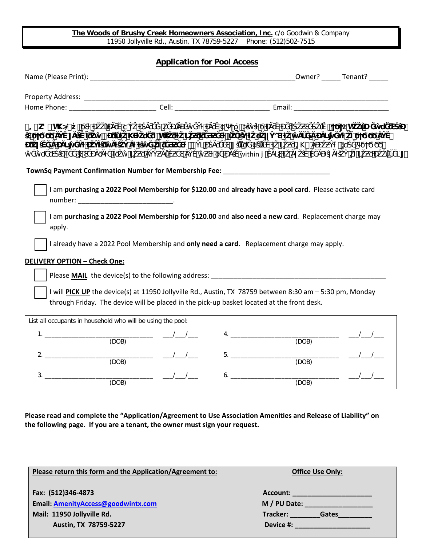**The Woods of Brushy Creek Homeowners Association, Inc.** c/o Goodwin & Company 11950 Jollyville Rd., Austin, TX 78759-5227 Phone: (512)502-7515

**Application for Pool Access**

| Name (Please Print): Name (Please Print) and the contract of the contract of the contract of the contract of the contract of the contract of the contract of the contract of the contract of the contract of the contract of t |                                                                                                                                                                                                                                                                                                                                                                                                                                                                                                                  |                                                                                                                                                                                                                                                                                                                                                                                                                                                                                                                                                                                                                                                                                                                                                                                 | Owner? Tenant? |
|--------------------------------------------------------------------------------------------------------------------------------------------------------------------------------------------------------------------------------|------------------------------------------------------------------------------------------------------------------------------------------------------------------------------------------------------------------------------------------------------------------------------------------------------------------------------------------------------------------------------------------------------------------------------------------------------------------------------------------------------------------|---------------------------------------------------------------------------------------------------------------------------------------------------------------------------------------------------------------------------------------------------------------------------------------------------------------------------------------------------------------------------------------------------------------------------------------------------------------------------------------------------------------------------------------------------------------------------------------------------------------------------------------------------------------------------------------------------------------------------------------------------------------------------------|----------------|
| Property Address: National Property Address:                                                                                                                                                                                   |                                                                                                                                                                                                                                                                                                                                                                                                                                                                                                                  |                                                                                                                                                                                                                                                                                                                                                                                                                                                                                                                                                                                                                                                                                                                                                                                 |                |
|                                                                                                                                                                                                                                |                                                                                                                                                                                                                                                                                                                                                                                                                                                                                                                  |                                                                                                                                                                                                                                                                                                                                                                                                                                                                                                                                                                                                                                                                                                                                                                                 |                |
|                                                                                                                                                                                                                                |                                                                                                                                                                                                                                                                                                                                                                                                                                                                                                                  |                                                                                                                                                                                                                                                                                                                                                                                                                                                                                                                                                                                                                                                                                                                                                                                 |                |
|                                                                                                                                                                                                                                |                                                                                                                                                                                                                                                                                                                                                                                                                                                                                                                  | $\frac{\# = k}{k}$ and $\frac{k}{k}$ if the contract of $\frac{k}{k}$ if the contract of $\frac{k}{k}$ if $\frac{k}{k}$ if $\frac{k}{k}$ if $\frac{k}{k}$ if $\frac{k}{k}$ if $\frac{k}{k}$ if $\frac{k}{k}$ if $\frac{k}{k}$ if $\frac{k}{k}$ if $\frac{k}{k}$ if $\frac{k}{k}$ if $\frac{k}{k}$ if $\frac{k}{$<br>$\mathcal{L}(\mathcal{L}(\mathcal{L}(\mathcal{L}(\mathcal{L}(\mathcal{L}(\mathcal{L}(\mathcal{L}(\mathcal{L}(\mathcal{L}(\mathcal{L}(\mathcal{L}(\mathcal{L}(\mathcal{L}(\mathcal{L}(\mathcal{L}(\mathcal{L}(\mathcal{L}(\mathcal{L}(\mathcal{L}(\mathcal{L}(\mathcal{L}(\mathcal{L}(\mathcal{L}(\mathcal{L}(\mathcal{L}(\mathcal{L}(\mathcal{L}(\mathcal{L}(\mathcal{L}(\mathcal{L}(\mathcal{L}(\mathcal{L}(\mathcal{L}(\mathcal{L}(\mathcal{L}(\mathcal{$ |                |
|                                                                                                                                                                                                                                |                                                                                                                                                                                                                                                                                                                                                                                                                                                                                                                  | TownSq Payment Confirmation Number for Membership Fee: _________________________                                                                                                                                                                                                                                                                                                                                                                                                                                                                                                                                                                                                                                                                                                |                |
| number: __________________________________<br>apply.<br><b>DELIVERY OPTION - Check One:</b>                                                                                                                                    |                                                                                                                                                                                                                                                                                                                                                                                                                                                                                                                  | I am purchasing a 2022 Pool Membership for \$120.00 and also need a new card. Replacement charge may<br>I already have a 2022 Pool Membership and only need a card. Replacement charge may apply.<br>Please <b>MAIL</b> the device(s) to the following address: <b>EXECUTE:</b> Note that the set of the set of the set of the set of the set of the set of the set of the set of the set of the set of the set of the set of the set of the                                                                                                                                                                                                                                                                                                                                    |                |
| List all occupants in household who will be using the pool:                                                                                                                                                                    |                                                                                                                                                                                                                                                                                                                                                                                                                                                                                                                  | I will PICK UP the device(s) at 11950 Jollyville Rd., Austin, TX 78759 between 8:30 am - 5:30 pm, Monday<br>through Friday. The device will be placed in the pick-up basket located at the front desk.                                                                                                                                                                                                                                                                                                                                                                                                                                                                                                                                                                          |                |
| $1.$ $\blacksquare$                                                                                                                                                                                                            |                                                                                                                                                                                                                                                                                                                                                                                                                                                                                                                  | 4.                                                                                                                                                                                                                                                                                                                                                                                                                                                                                                                                                                                                                                                                                                                                                                              |                |
| (DOB)                                                                                                                                                                                                                          |                                                                                                                                                                                                                                                                                                                                                                                                                                                                                                                  | (DOB)                                                                                                                                                                                                                                                                                                                                                                                                                                                                                                                                                                                                                                                                                                                                                                           |                |
| 2.<br>(DOB)                                                                                                                                                                                                                    | $\begin{tabular}{ccccc} \multicolumn{2}{c }{\textbf{\textcolor{blue}{\bf -1}}}& & \multicolumn{2}{c }{\textbf{\textcolor{blue}{\bf -2}}}& & \multicolumn{2}{c }{\textbf{\textcolor{blue}{\bf -2}}}& & \multicolumn{2}{c }{\textbf{\textcolor{blue}{\bf -2}}}& & \multicolumn{2}{c }{\textbf{\textcolor{blue}{\bf -2}}}& & \multicolumn{2}{c }{\textbf{\textcolor{blue}{\bf -2}}}& & \multicolumn{2}{c }{\textbf{\textcolor{blue}{\bf -2}}}& & \multicolumn{2}{c }{\textbf{\textcolor{blue}{\bf -2}}}& & \multic$ | (DOB)                                                                                                                                                                                                                                                                                                                                                                                                                                                                                                                                                                                                                                                                                                                                                                           |                |
| 3.<br>(DOB)                                                                                                                                                                                                                    | $\overline{\phantom{a}}$ $\overline{\phantom{a}}$ $\overline{\phantom{a}}$ $\overline{\phantom{a}}$ $\overline{\phantom{a}}$ $\overline{\phantom{a}}$ $\overline{\phantom{a}}$ $\overline{\phantom{a}}$ $\overline{\phantom{a}}$ $\overline{\phantom{a}}$ $\overline{\phantom{a}}$ $\overline{\phantom{a}}$ $\overline{\phantom{a}}$ $\overline{\phantom{a}}$ $\overline{\phantom{a}}$ $\overline{\phantom{a}}$ $\overline{\phantom{a}}$ $\overline{\phantom{a}}$ $\overline{\$                                  | 6.<br>(DOB)                                                                                                                                                                                                                                                                                                                                                                                                                                                                                                                                                                                                                                                                                                                                                                     |                |

**Please read and complete the "Application/Agreement to Use Association Amenities and Release of Liability" on the following page. If you are a tenant, the owner must sign your request.** 

| Please return this form and the Application/Agreement to: | <b>Office Use Only:</b>  |  |
|-----------------------------------------------------------|--------------------------|--|
| Fax: (512)346-4873<br>Email: AmenityAccess@goodwintx.com  | Account:<br>M / PU Date: |  |
| Mail: 11950 Jollyville Rd.                                | Tracker:<br>Gates        |  |
| Austin, TX 78759-5227                                     | Device #:                |  |